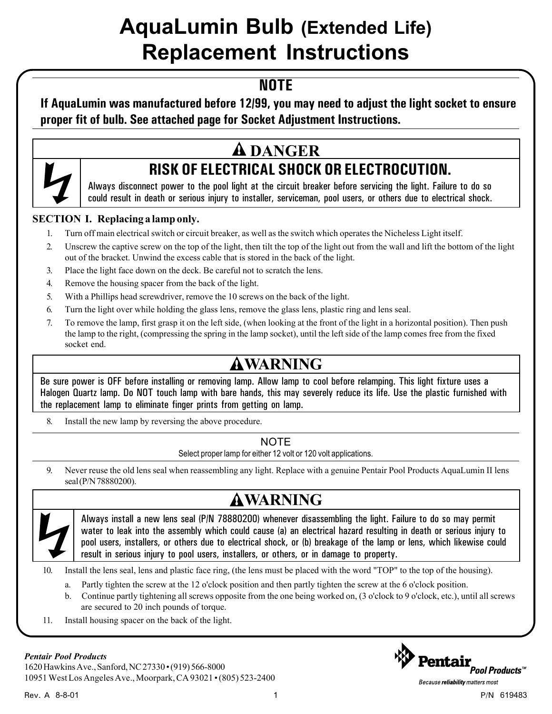# AquaLumin Bulb (Extended Life) Replacement Instructions

## **NOTE**

### **If AquaLumin was manufactured before 12/99, you may need to adjust the light socket to ensure proper fit of bulb. See attached page for Socket Adjustment Instructions.**

# **DANGER**



Always disconnect power to the pool light at the circuit breaker before servicing the light. Failure to do so could result in death or serious injury to installer, serviceman, pool users, or others due to electrical shock.

#### **SECTION I. Replacing a lamp only.**

- 1. Turn off main electrical switch or circuit breaker, as well as the switch which operates the Nicheless Light itself.
- 2. Unscrew the captive screw on the top of the light, then tilt the top of the light out from the wall and lift the bottom of the light out of the bracket. Unwind the excess cable that is stored in the back of the light.
- 3. Place the light face down on the deck. Be careful not to scratch the lens.
- 4. Remove the housing spacer from the back of the light.
- 5. With a Phillips head screwdriver, remove the 10 screws on the back of the light.
- 6. Turn the light over while holding the glass lens, remove the glass lens, plastic ring and lens seal.
- 7. To remove the lamp, first grasp it on the left side, (when looking at the front of the light in a horizontal position). Then push the lamp to the right, (compressing the spring in the lamp socket), until the left side of the lamp comes free from the fixed socket end.

## **WARNING**

Be sure power is OFF before installing or removing lamp. Allow lamp to cool before relamping. This light fixture uses a Halogen Quartz lamp. Do NOT touch lamp with bare hands, this may severely reduce its life. Use the plastic furnished with the replacement lamp to eliminate finger prints from getting on lamp.

8. Install the new lamp by reversing the above procedure.

#### NOTE

Select proper lamp for either 12 volt or 120 volt applications.

9. Never reuse the old lens seal when reassembling any light. Replace with a genuine Pentair Pool Products AquaLumin II lens seal (P/N 78880200).

# **WARNING**

Always install a new lens seal (P/N 78880200) whenever disassembling the light. Failure to do so may permit water to leak into the assembly which could cause (a) an electrical hazard resulting in death or serious injury to pool users, installers, or others due to electrical shock, or (b) breakage of the lamp or lens, which likewise could result in serious injury to pool users, installers, or others, or in damage to property.

10. Install the lens seal, lens and plastic face ring, (the lens must be placed with the word "TOP" to the top of the housing).

- a. Partly tighten the screw at the 12 o'clock position and then partly tighten the screw at the 6 o'clock position.
- b. Continue partly tightening all screws opposite from the one being worked on, (3 o'clock to 9 o'clock, etc.), until all screws are secured to 20 inch pounds of torque.
- 11. Install housing spacer on the back of the light.

#### *Pentair Pool Products*

1620 Hawkins Ave., Sanford, NC 27330 • (919) 566-8000 10951 West Los Angeles Ave., Moorpark, CA 93021 • (805) 523-2400



Because reliability matters most